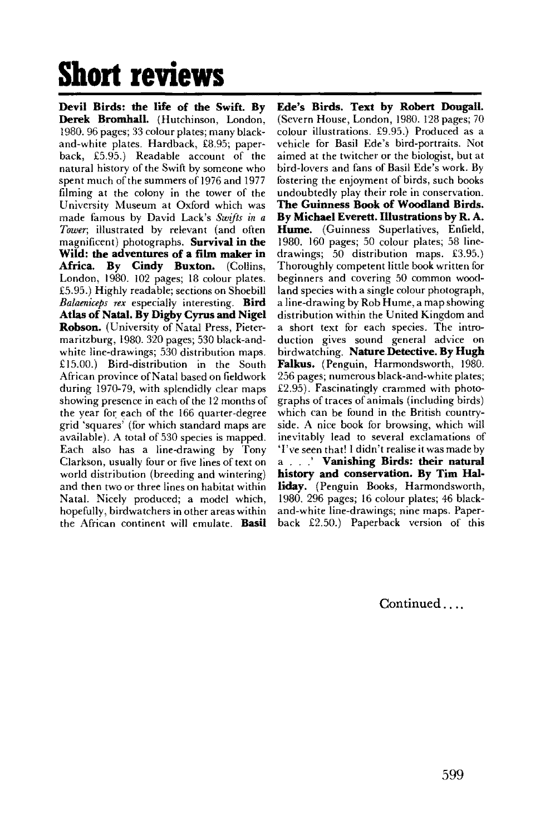## **Short reviews**

**Devil Birds: the life of the Swift. By Derek Bromhall.** (Hutchinson, London, 1980. 96 pages; 33 colour plates; many blackand-white plates. Hardback, £8.95; paperback, £5.95.) Readable account of the natural history of the Swift by someone who spent much of the summers of 1976 and 1977 filming at the colony in the tower of the University Museum at Oxford which was made famous by David Lack's *Swifts in a Tower,* illustrated by relevant (and often magnificent) photographs. **Survival in the Wild: the adventures of a film maker in Africa. By Cindy Buxton.** (Collins, London, 1980. 102 pages; 18 colour plates. £5.95.) Highly readable; sections on Shoebill *Balaenkeps rex* especially interesting. **Bird Atlas of Natal. By Digby Cyrus and Nigel Robson.** (University of Natal Press, Pietermaritzburg, 1980. 320 pages; 530 black-andwhite line-drawings; 530 distribution maps. £15.00.) Bird-distribution in the South African province of Natal based on fieldwork during 1970-79, with splendidly clear maps showing presence in each of the 12 months of the year for each of the 166 quarter-degree grid 'squares' (for which standard maps are available). A total of 530 species is mapped. Each also has a line-drawing by Tony Clarkson, usually four or five lines of text on world distribution (breeding and wintering) and then two or three lines on habitat within Natal. Nicely produced; a model which, hopefully, birdwatchers in other areas within the African continent will emulate. **Basil** 

**Ede's Birds. Text by Robert Dougall.**  (Severn House, London, 1980. 128 pages; 70 colour illustrations. £9.95.) Produced as a vehicle for Basil Ede's bird-portraits. Not aimed at the twitcher or the biologist, but at bird-lovers and fans of Basil Ede's work. By fostering the enjoyment of birds, such books undoubtedly play their role in conservation. **The Guinness Book of Woodland Birds. By Michael Everett. Illustrations by R. A. Hume.** (Guinness Superlatives, Enfield, 1980. 160 pages; 50 colour plates; 58 linedrawings; 50 distribution maps. £3.95.) Thoroughly competent little book written for beginners and covering 50 common woodland species with a single colour photograph, a line-drawing by Rob Hume, a map showing distribution within the United Kingdom and a short text for each species. The introduction gives sound general advice on birdwatching. **Nature Detective. By Hugh Falkus.** (Penguin, Harmondsworth, 1980. 256 pages; numerous black-and-white plates; £2.95). Fascinatingly crammed with photographs of traces of animals (including birds) which can be found in the British countryside. A nice book for browsing, which will inevitably lead to several exclamations of 'I've seen that! I didn't realise it was made by a . . .' **Vanishing Birds: their natural history and conservation. By Tim Halliday.** (Penguin Books, Harmondsworth, 1980. 296 pages; 16 colour plates; 46 blackand-white line-drawings; nine maps. Paperback £2.50.) Paperback version of this

Continued....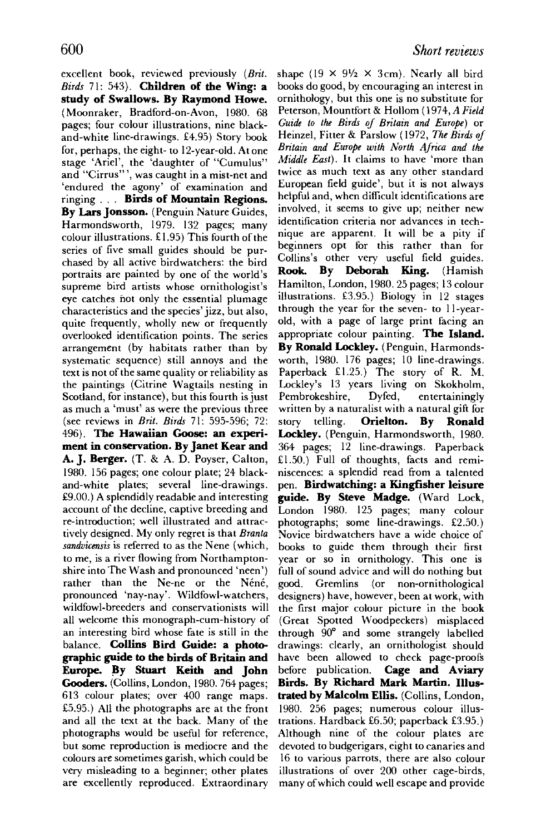excellent book, reviewed previously *(Brit. Birds* 71: 543). **Children of the Wing: a study of Swallows. By Raymond Howe.**  (Moonraker, Bradford-on-Avon, 1980. 68 pages; four colour illustrations, nine blackand-white line-drawings. £4.95) Story book for, perhaps, the eight- to 12-year-old. At one stage 'Ariel', the 'daughter of "Cumulus" and "Cirrus"', was caught in a mist-net and 'endured the agony' of examination and ringing . . . **Birds of Mountain Regions. By Lars Jonsson.** (Penguin Nature Guides, Harmondsworth, 1979. 132 pages; many colour illustrations. £1.95) This fourth of the series of five small guides should be purchased by all active birdwatchers: the bird portraits are painted by one of the world's supreme bird artists whose ornithologist's eye catches hot only the essential plumage characteristics and the species' jizz, but also, quite frequently, wholly new or frequently overlooked identification points. The series arrangement (by habitats rather than by systematic sequence) still annoys and the text is not of the same quality or reliability as the paintings (Citrine Wagtails nesting in Scotland, for instance), but this fourth is just as much a 'must' as were the previous three (see reviews in *Brit. Birds* 71: 595-596; 72: 496). **The Hawaiian Goose: an experiment in conservation. By Janet Kear and A. J. Berger.** (T. 8, A. D. Box, California, C. Box, C. Box, C. Box, C. Box, C. Box, C. Box, C. Box, C. Box, C. Box, C. Box, C. Box, C. Box, C. Box, C. Box, C. Box, C. Box, C. Box, C. Box, C. Box, C. Box, C. Box, C. Box, **A. J. Berger.** (T. & A. D. Poyser, Calton, 1980. 156 pages; one colour plate; 24 blackand-white plates; several line-drawings.  $£9.00$ .) A splendidly readable and interesting account of the decline, captive breeding and re-introduction; well illustrated and attractively designed. My only regret is that Branta sandvicensis is referred to as the Nene (which, to me, is a river flowing from Northamptonshire into The Wash and pronounced 'neen') rather than the Ne-ne or the Néné, pronounced 'nay-nay'. Wildfowl-watchers, wildfowl-breeders and conservationists will all welcome this monograph-cum-history of an interesting bird whose fate is still in the balance. **Collins Bird Guide: a photo**graphic guide to the birds of Britain and Europe. By Stuart Keith and John Gooders. (Collins, London, 1980. 764 pages; 613 colour plates; over 400 range maps.  $£5.95.)$  All the photographs are at the front and all the text at the back. Many of the photographs would be useful for reference, but some reproduction is mediocre and the colours are sometimes garish, which could be very misleading to a beginner; other plates are excellently reproduced. Extraordinary

shape (19  $\times$  9<sup>1</sup>/<sub>2</sub>  $\times$  3 cm). Nearly all bird books do good, by encouraging an interest in ornithology, but this one is no substitute for Peterson, Mountfort & Hollom (1974, *A Field Guide to the Birds of Britain and Europe)* or Heinzel, Fitter & Parslow (1972, *The Birds of Britain and Europe with North Africa and the Middle East).* It claims to have 'more than twice as much text as any other standard European field guide', but it is not always helpful and, when difficult identifications are involved, it seems to give up; neither new identification criteria nor advances in technique are apparent. It will be a pity if beginners opt for this rather than for Collins's other very useful field guides. **Rook. By Deborah King.** (Hamish Hamilton, London, 1980. 25 pages; 13 colour illustrations. £3.95.) Biology in 12 stages through the year for the seven- to 11 -yearold, with a page of large print facing an appropriate colour painting. **The Island. By Ronald Lockley.** (Penguin, Harmondsworth, 1980. 176 pages; 10 line-drawings. worth, 1960.  $1/6$  pages, 10 line-drawings. Faperback  $x_1, z_2, y_1$  ine story of K. M. Lockley's 13 years living on Skokholm,<br>Pembrokeshire, Dyfed, entertainingly  $r$ emorokesnire,  $D$ yied, entertainingly written by a naturalist with a natural gift for story telling. **Orielton. By Ronald Lockley.** (Penguin, Harmondsworth, 1980. 364 pages; 12 line-drawings. Paperback  $£1.50$ .) Full of thoughts, facts and reminiscences: a splendid read from a talented pen. **Birdwatching: a Kingfisher leisure** guide. By Steve Madge. (Ward Lock, London 1980. 125 pages; many colour  $photographs$ ; some line-drawings. £2.50.) Novice birdwatchers have a wide choice of books to guide them through their first year or so in ornithology. This one is full of sound advice and will do nothing but good, Gremlins (or non-ornithological designers) have, however, been at work, with the first major colour picture in the book (Great Spotted Woodpeckers) misplaced through  $90^{\circ}$  and some strangely labelled drawings: clearly, an ornithologist should have been allowed to check page-proofs before publication. **Cage and Aviary** Birds. By Richard Mark Martin. Illustrated by Malcolm Ellis. (Collins, London, 1980. 256 pages; numerous colour illustrations. Hardback  $£6.50$ ; paperback  $£3.95$ .) Although nine of the colour plates are devoted to budgerigars, eight to canaries and 16 to various parrots, there are also colour illustrations of over 200 other cage-birds, many of which could well escape and provide